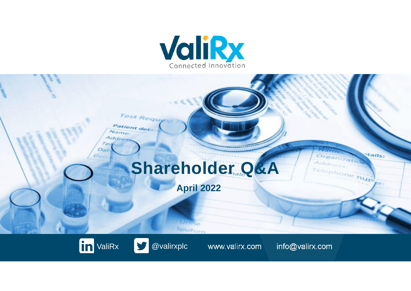





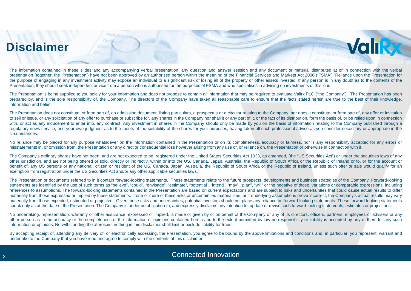### **Disclaimer**

The information contained in these slides and any accompanying verbal presentation, any question and answer session and any document or material distributed at or in connection with the verbal presentation (together, the 'Presentation') have not been approved by an authorised person within the meaning of the Financial Services and Markets Act 2000 ('FSMA'). Reliance upon the Presentation for the purpose of engaging in any investment activity may expose an individual to a significant risk of losing all of the property or other assets invested. If any person is in any doubt as to the contents of the Presentation, they should seek independent advice from a person who is authorised for the purposes of FSMA and who specialises in advising on investments of this kind.

**Valiky** 

The Presentation is being supplied to you solely for your information and does not propose to contain all information that may be required to evaluate Valirx PLC ("the Company"). The Presentation has been prepared by, and is the sole responsibility of, the Company. The directors of the Company have taken all reasonable care to ensure that the facts stated herein are true to the best of their knowledge, information and belief.

The Presentation does not constitute, or form part of, an admission document, listing particulars, a prospectus or a circular relating to the Company, nor does it constitute, or form part of, any offer or invitation to sell or issue, or any solicitation of any offer to purchase or subscribe for, any shares in the Company nor shall it or any part of it, or the fact of its distribution, form the basis of, or be relied upon in connection with, or act as any inducement to enter into, any contract. Any investment in shares in the Company should only be made by you on the basis of information relating to the Company published through a regulatory news service, and your own judgment as to the merits of the suitability of the shares for your purposes, having taken all such professional advice as you consider necessary or appropriate in the circumstances.

No reliance may be placed for any purpose whatsoever on the information contained in the Presentation or on its completeness, accuracy or fairness, nor is any responsibility accepted for any errors or misstatements in, or omission from, the Presentation or any direct or consequential loss however arising from any use of, or reliance on, the Presentation or otherwise in connection with it.

The Company's ordinary shares have not been, and are not expected to be, registered under the United States Securities Act 1933, as amended, (the "US Securities Act") or under the securities laws of any other jurisdiction, and are not being offered or sold, directly or indirectly, within or into the US, Canada, Japan, Australia, the Republic of South Africa or the Republic of Ireland or to, or for the account or benefit of, any US persons or any national, citizen or resident of the US, Canada, Japan, Australia, the Republic of South Africa or the Republic of Ireland, unless such offer or sale would qualify for an exemption from registration under the US Securities Act and/or any other applicable securities laws.

The Presentation or documents referred to in it contain forward-looking statements. These statements relate to the future prospects, developments and business strategies of the Company. Forward-looking statements are identified by the use of such terms as "believe", "could", "envisage", "estimate", "potential", "intend", "may", "plan", "will" or the negative of those, variations or comparable expressions, including references to assumptions. The forward-looking statements contained in the Presentation are based on current expectations and are subject to risks and uncertainties that could cause actual results to differ materially from those expressed or implied by those statements. If one or more of these risks or uncertainties materialises, or if underlying assumptions prove incorrect, the Company's actual results may vary materially from those expected, estimated or projected. Given these risks and uncertainties, potential investors should not place any reliance on forward-looking statements. These forward-looking statements speak only as at the date of the Presentation. The Company is under no obligation to, and expressly disclaims any intention to, update or revise such forward-looking statements, estimates or projections.

No undertaking, representation, warranty or other assurance, expressed or implied, is made or given by or on behalf of the Company or any of its directors, officers, partners, employees or advisers or any other person as to the accuracy orthe completeness of the information or opinions contained herein and to the extent permitted by law no responsibility or liability is accepted by any of them for any such information or opinions. Notwithstanding the aforesaid, nothing in this disclaimer shall limit or exclude liability for fraud.

By accepting receipt of, attending any delivery of, or electronically accessing, the Presentation, you agree to be bound by the above limitations and conditions and, in particular, you represent, warrant and undertake to the Company that you have read and agree to comply with the contents of this disclaimer.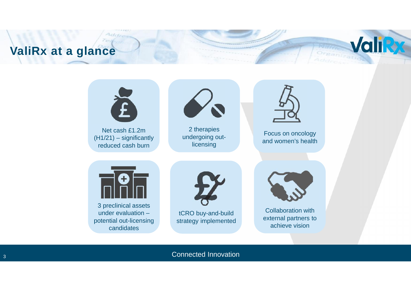### **ValiRx at a glance**



**Valik** 

Organizativ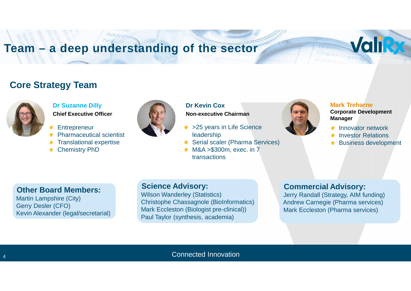### **Team – a deep understanding of the sector**

#### **Core Strategy Team**



#### **Dr Suzanne Dilly**

**Chief Executive Officer**

- **Entrepreneur**
- Pharmaceutical scientist
- Translational expertise
- Chemistry PhD



#### **Dr Kevin Cox Non-executive Chairman**

- >25 years in Life Science leadership
- Serial scaler (Pharma Services)
- M&A >\$300m, exec. in 7 transactions



#### **Mark Treharne Corporate Development Manager**

- Innovator network
- Investor Relations
- Business development

**Valik** 

#### **Other Board Members:**

Martin Lampshire (City) Gerry Desler (CFO) Kevin Alexander (legal/secretarial)

#### **Science Advisory:**

Wilson Wanderley (Statistics) Christophe Chassagnole (BioInformatics) Mark Eccleston (Biologist pre-clinical)) Paul Taylor (synthesis, academia)

#### **Commercial Advisory:**

Jerry Randall (Strategy, AIM funding) Andrew Carnegie (Pharma services) Mark Eccleston (Pharma services)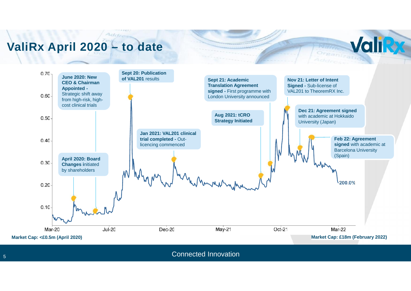### **ValiRx April 2020 – to date**

Addi



**ValiRy** 

Organizati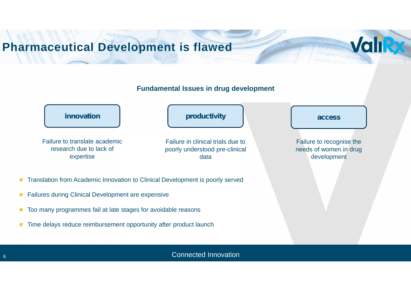# **Pharmaceutical Development is flawed**

#### **Fundamental Issues in drug development**

**Valik** 



- Translation from Academic Innovation to Clinical Development is poorly served  $\bullet$
- Failures during Clinical Development are expensive ۰
- Too many programmes fail at late stages for avoidable reasons ۰
- Time delays reduce reimbursement opportunity after product launch  $\bullet$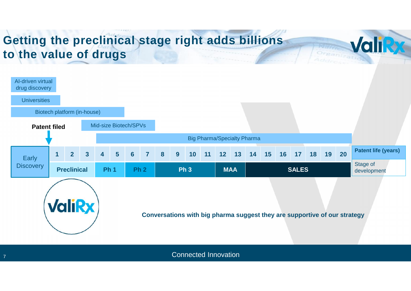### **Getting the preclinical stage right adds billions to the value of drugs**

7



**Valiky** 

Organizati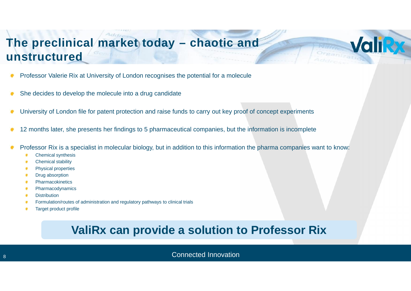### **The preclinical market today – chaotic and unstructured**

- Professor Valerie Rix at University of London recognises the potential for a molecule
- She decides to develop the molecule into a drug candidate
- University of London file for patent protection and raise funds to carry out key proof of concept experiments
- 12 months later, she presents her findings to 5 pharmaceutical companies, but the information is incomplete
- Professor Rix is a specialist in molecular biology, but in addition to this information the pharma companies want to know:
	- Chemical synthesis ٠
	- Chemical stability  $\bullet$
	- Physical properties ×
	- Drug absorption
	- **Pharmacokinetics**
	- Pharmacodynamics
	- **Distribution** ٠
	- Formulation/routes of administration and regulatory pathways to clinical trials
	- Target product profile

#### **ValiRx can provide a solution to Professor Rix**

**8 B Connected Innovation** 

**Valik**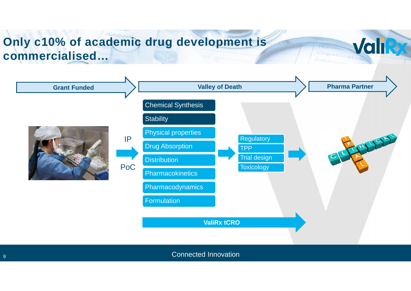#### $AdS_{n}$ **Only c10% of academic drug development is commercialised…**



**Valiky**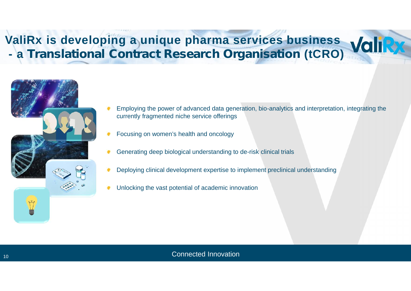# **ValiRx is developing a unique pharma services business - a** *Translational Contract Research Organisation* **(tCRO)**



- Employing the power of advanced data generation, bio-analytics and interpretation, integrating the currently fragmented niche service offerings
- Focusing on women's health and oncology
- Generating deep biological understanding to de-risk clinical trials
- Deploying clinical development expertise to implement preclinical understanding
- Unlocking the vast potential of academic innovation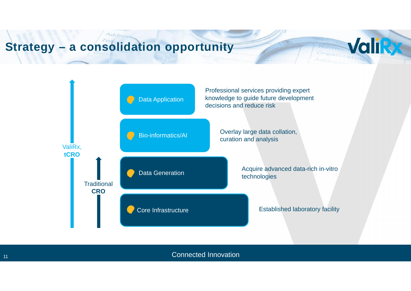# **Strategy – a consolidation opportunity**



Valiky

11 **Connected Innovation 11** Connected Innovation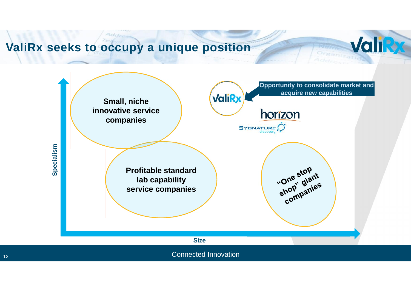### **ValiRx seeks to occupy a unique position**



**Valiky**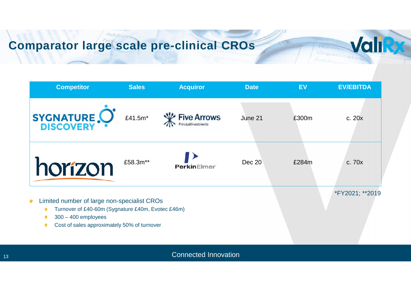## **Comparator large scale pre-clinical CROs**

Add.



**Valik**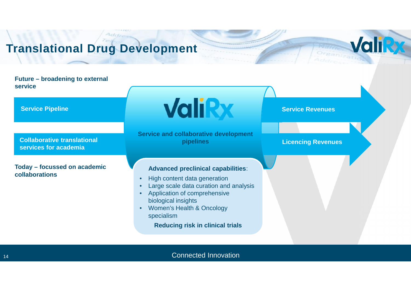# **Translational Drug Development**

#### **Future – broadening to external service**

**Service Pipeline**

**Collaborative translational services for academia**

**Today – focussed on academic collaborations**

**ValiRx** 

**Service Revenues**

Organizati

**ValiRy** 

**Licencing Revenues**

**Service and collaborative development pipelines**

#### **Advanced preclinical capabilities**:

- High content data generation
- Large scale data curation and analysis
- Application of comprehensive biological insights
- Women's Health & Oncology specialism

**Reducing risk in clinical trials**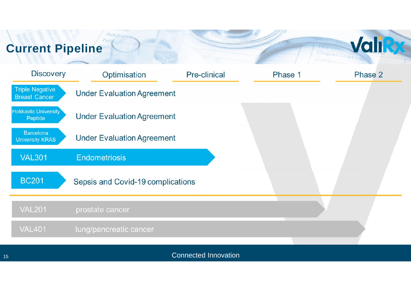#### $T_{\mathcal{O}}$ **Current Pipeline**

Addre

| <b>Discovery</b>                               | Optimisation                      | Pre-clinical | Phase 1 | Phase 2 |
|------------------------------------------------|-----------------------------------|--------------|---------|---------|
| <b>Triple Negative</b><br><b>Breast Cancer</b> | <b>Under Evaluation Agreement</b> |              |         |         |
| <b>Hokkaido University</b><br>Peptide          | <b>Under Evaluation Agreement</b> |              |         |         |
| <b>Barcelona</b><br><b>University KRAS</b>     | <b>Under Evaluation Agreement</b> |              |         |         |
| <b>VAL301</b>                                  | <b>Endometriosis</b>              |              |         |         |
| <b>BC201</b>                                   | Sepsis and Covid-19 complications |              |         |         |
| <b>VAL201</b>                                  | prostate cancer                   |              |         |         |
| <b>VAL401</b>                                  | lung/pancreatic cancer            |              |         |         |
|                                                |                                   |              |         |         |

Valiky

Organisation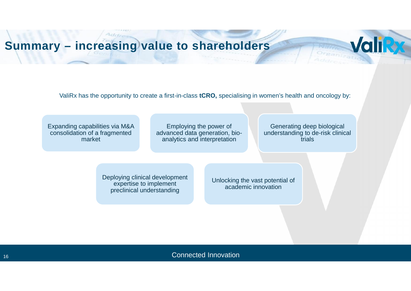# **Summary – increasing value to shareholders**

ValiRx has the opportunity to create a first-in-class **tCRO,** specialising in women's health and oncology by:

Employing the power of advanced data generation, bio analytics and interpretation

Expanding capabilities via M&A consolidation of a fragmented market

Generating deep biological understanding to de-risk clinical trials

**Valiky** 

Deploying clinical development expertise to implement preclinical understanding

Unlocking the vast potential of academic innovation